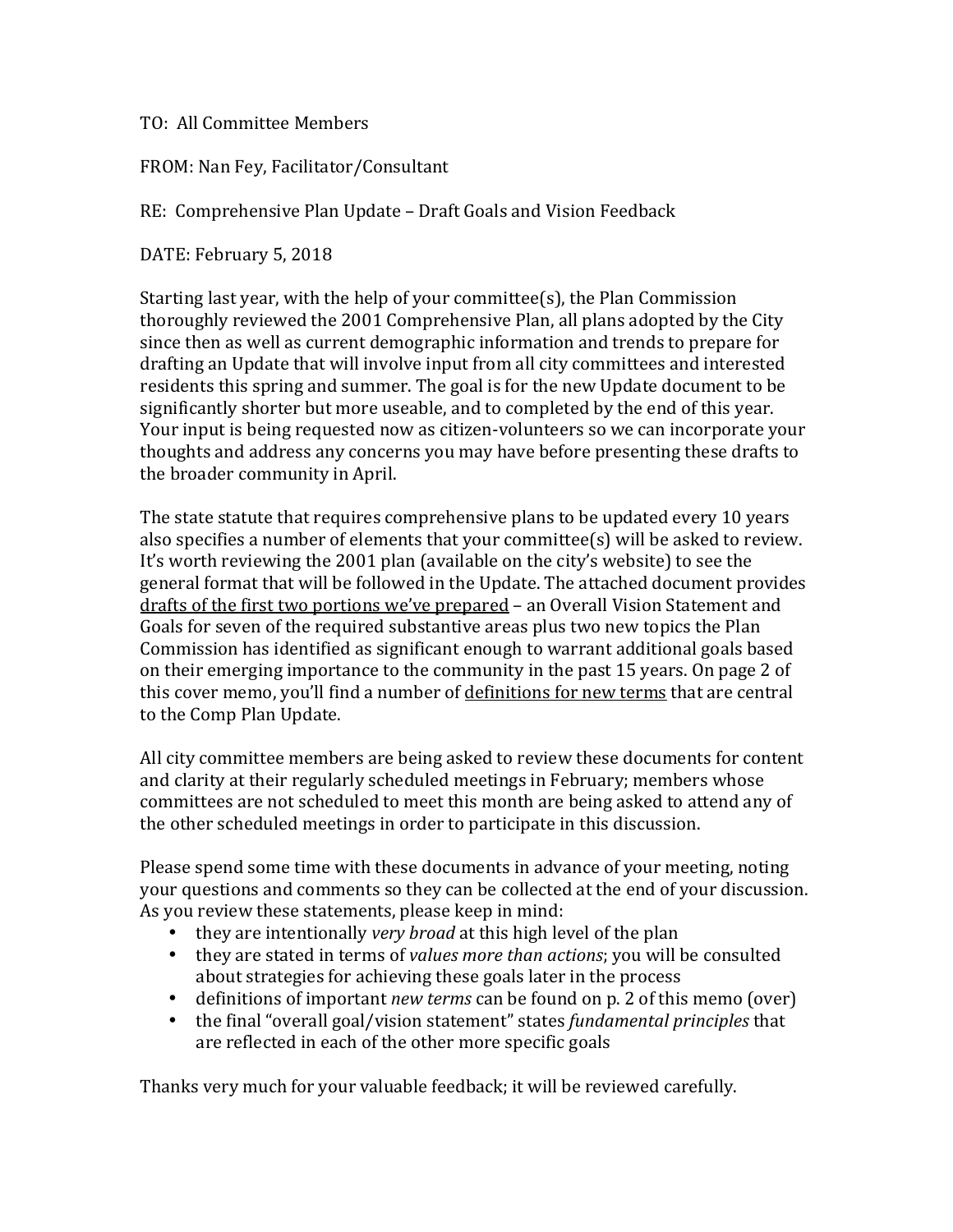TO: All Committee Members

FROM: Nan Fey, Facilitator/Consultant

RE: Comprehensive Plan Update – Draft Goals and Vision Feedback

DATE: February 5, 2018

Starting last year, with the help of your committee(s), the Plan Commission thoroughly reviewed the 2001 Comprehensive Plan, all plans adopted by the City since then as well as current demographic information and trends to prepare for drafting an Update that will involve input from all city committees and interested residents this spring and summer. The goal is for the new Update document to be significantly shorter but more useable, and to completed by the end of this year. Your input is being requested now as citizen-volunteers so we can incorporate vour thoughts and address any concerns you may have before presenting these drafts to the broader community in April.

The state statute that requires comprehensive plans to be updated every 10 years also specifies a number of elements that your committee(s) will be asked to review. It's worth reviewing the 2001 plan (available on the city's website) to see the general format that will be followed in the Update. The attached document provides drafts of the first two portions we've prepared – an Overall Vision Statement and Goals for seven of the required substantive areas plus two new topics the Plan Commission has identified as significant enough to warrant additional goals based on their emerging importance to the community in the past 15 years. On page 2 of this cover memo, you'll find a number of definitions for new terms that are central to the Comp Plan Update.

All city committee members are being asked to review these documents for content and clarity at their regularly scheduled meetings in February; members whose committees are not scheduled to meet this month are being asked to attend any of the other scheduled meetings in order to participate in this discussion.

Please spend some time with these documents in advance of your meeting, noting your questions and comments so they can be collected at the end of your discussion. As you review these statements, please keep in mind:

- they are intentionally *very broad* at this high level of the plan
- they are stated in terms of *values more than actions*; you will be consulted about strategies for achieving these goals later in the process
- definitions of important *new terms* can be found on p. 2 of this memo (over)
- the final "overall goal/vision statement" states *fundamental principles* that are reflected in each of the other more specific goals

Thanks very much for your valuable feedback; it will be reviewed carefully.